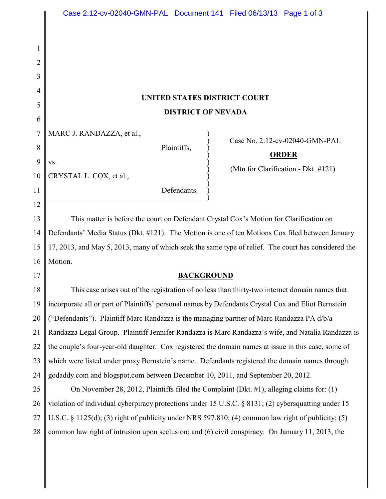## **UNITED STATES DISTRICT COURT DISTRICT OF NEVADA**

 $\big)$ 

7 MARC J. RANDAZZA, et al.,

 $\mathbf{v}\mathbf{s}$ .

Plaintiffs, )

) Case No. 2:12-cv-02040-GMN-PAL

## ) **ORDER**

) (Mtn for Clarification - Dkt. #121)

10 CRYSTAL L. COX, et al., )

> Defendants.  $\hspace{.5cm}$   $\hspace{.5cm}$   $\hspace{.5cm}$   $\hspace{.5cm}$   $\hspace{.5cm}$   $\hspace{.5cm}$   $\hspace{.5cm}$   $\hspace{.5cm}$   $\hspace{.5cm}$   $\hspace{.5cm}$   $\hspace{.5cm}$   $\hspace{.5cm}$   $\hspace{.5cm}$   $\hspace{.5cm}$   $\hspace{.5cm}$   $\hspace{.5cm}$   $\hspace{.5cm}$   $\hspace{.5cm}$   $\hspace{.5cm}$   $\hspace{.5cm}$

13 14 15 16 This matter is before the court on Defendant Crystal Cox's Motion for Clarification on Defendants' Media Status (Dkt. #121). The Motion is one of ten Motions Cox filed between January 17, 2013, and May 5, 2013, many of which seek the same type of relief. The court has considered the Motion.

17

1

2

3

4

5

6

8

9

11

12

## **BACKGROUND**

18 19 20 21 22 23 24 This case arises out of the registration of no less than thirty-two internet domain names that incorporate all or part of Plaintiffs' personal names by Defendants Crystal Cox and Eliot Bernstein ("Defendants"). Plaintiff Marc Randazza is the managing partner of Marc Randazza PA d/b/a Randazza Legal Group. Plaintiff Jennifer Randazza is Marc Randazza's wife, and Natalia Randazza is the couple's four-year-old daughter. Cox registered the domain names at issue in this case, some of which were listed under proxy Bernstein's name. Defendants registered the domain names through godaddy.com and blogspot.com between December 10, 2011, and September 20, 2012.

25 26 27 28 On November 28, 2012, Plaintiffs filed the Complaint (Dkt. #1), alleging claims for: (1) violation of individual cyberpiracy protections under 15 U.S.C. § 8131; (2) cybersquatting under 15 U.S.C. § 1125(d); (3) right of publicity under NRS 597.810; (4) common law right of publicity; (5) common law right of intrusion upon seclusion; and (6) civil conspiracy. On January 11, 2013, the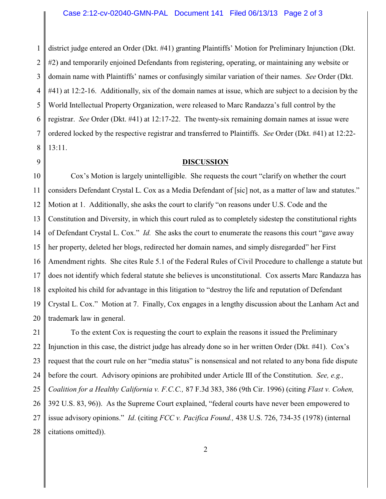1 2 3 4 5 6 7 8 district judge entered an Order (Dkt. #41) granting Plaintiffs' Motion for Preliminary Injunction (Dkt. #2) and temporarily enjoined Defendants from registering, operating, or maintaining any website or domain name with Plaintiffs' names or confusingly similar variation of their names. *See* Order (Dkt. #41) at 12:2-16. Additionally, six of the domain names at issue, which are subject to a decision by the World Intellectual Property Organization, were released to Marc Randazza's full control by the registrar. *See* Order (Dkt. #41) at 12:17-22. The twenty-six remaining domain names at issue were ordered locked by the respective registrar and transferred to Plaintiffs. *See* Order (Dkt. #41) at 12:22- 13:11.

9

## **DISCUSSION**

10 11 12 13 14 15 16 17 18 19 20 Cox's Motion is largely unintelligible. She requests the court "clarify on whether the court considers Defendant Crystal L. Cox as a Media Defendant of [sic] not, as a matter of law and statutes." Motion at 1. Additionally, she asks the court to clarify "on reasons under U.S. Code and the Constitution and Diversity, in which this court ruled as to completely sidestep the constitutional rights of Defendant Crystal L. Cox." *Id.* She asks the court to enumerate the reasons this court "gave away her property, deleted her blogs, redirected her domain names, and simply disregarded" her First Amendment rights. She cites Rule 5.1 of the Federal Rules of Civil Procedure to challenge a statute but does not identify which federal statute she believes is unconstitutional. Cox asserts Marc Randazza has exploited his child for advantage in this litigation to "destroy the life and reputation of Defendant Crystal L. Cox." Motion at 7. Finally, Cox engages in a lengthy discussion about the Lanham Act and trademark law in general.

21 22 23 24 25 26 27 28 To the extent Cox is requesting the court to explain the reasons it issued the Preliminary Injunction in this case, the district judge has already done so in her written Order (Dkt. #41). Cox's request that the court rule on her "media status" is nonsensical and not related to any bona fide dispute before the court. Advisory opinions are prohibited under Article III of the Constitution. *See, e.g., Coalition for a Healthy California v. F.C.C.,* 87 F.3d 383, 386 (9th Cir. 1996) (citing *Flast v. Cohen,* 392 U.S. 83, 96)). As the Supreme Court explained, "federal courts have never been empowered to issue advisory opinions." *Id*. (citing *FCC v. Pacifica Found.,* 438 U.S. 726, 734-35 (1978) (internal citations omitted)).